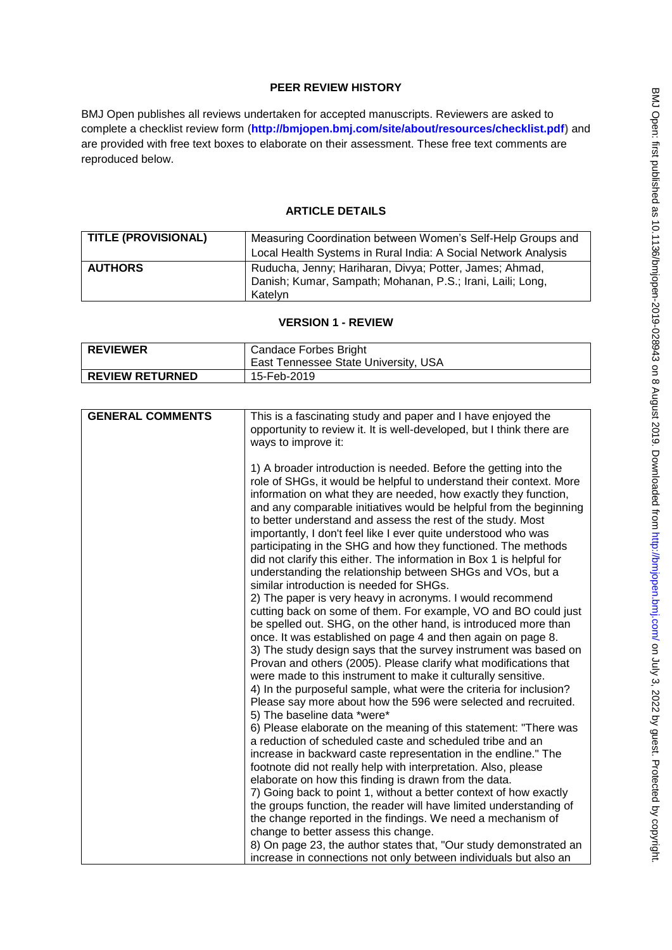# **PEER REVIEW HISTORY**

BMJ Open publishes all reviews undertaken for accepted manuscripts. Reviewers are asked to complete a checklist review form (**[http://bmjopen.bmj.com/site/about/resources/checklist.pdf\)](http://bmjopen.bmj.com/site/about/resources/checklist.pdf)** and are provided with free text boxes to elaborate on their assessment. These free text comments are reproduced below.

## **ARTICLE DETAILS**

| <b>TITLE (PROVISIONAL)</b> | Measuring Coordination between Women's Self-Help Groups and<br>Local Health Systems in Rural India: A Social Network Analysis    |
|----------------------------|----------------------------------------------------------------------------------------------------------------------------------|
| <b>AUTHORS</b>             | Ruducha, Jenny; Hariharan, Divya; Potter, James; Ahmad,<br>Danish; Kumar, Sampath; Mohanan, P.S.; Irani, Laili; Long,<br>Katelvn |

#### **VERSION 1 - REVIEW**

| <b>REVIEWER</b>        | <b>Candace Forbes Bright</b>         |
|------------------------|--------------------------------------|
|                        | East Tennessee State University, USA |
| <b>REVIEW RETURNED</b> | 15-Feb-2019                          |

| <b>GENERAL COMMENTS</b> | This is a fascinating study and paper and I have enjoyed the          |
|-------------------------|-----------------------------------------------------------------------|
|                         | opportunity to review it. It is well-developed, but I think there are |
|                         | ways to improve it:                                                   |
|                         |                                                                       |
|                         |                                                                       |
|                         | 1) A broader introduction is needed. Before the getting into the      |
|                         | role of SHGs, it would be helpful to understand their context. More   |
|                         | information on what they are needed, how exactly they function,       |
|                         | and any comparable initiatives would be helpful from the beginning    |
|                         | to better understand and assess the rest of the study. Most           |
|                         | importantly, I don't feel like I ever quite understood who was        |
|                         | participating in the SHG and how they functioned. The methods         |
|                         | did not clarify this either. The information in Box 1 is helpful for  |
|                         | understanding the relationship between SHGs and VOs, but a            |
|                         | similar introduction is needed for SHGs.                              |
|                         | 2) The paper is very heavy in acronyms. I would recommend             |
|                         | cutting back on some of them. For example, VO and BO could just       |
|                         | be spelled out. SHG, on the other hand, is introduced more than       |
|                         | once. It was established on page 4 and then again on page 8.          |
|                         | 3) The study design says that the survey instrument was based on      |
|                         | Provan and others (2005). Please clarify what modifications that      |
|                         | were made to this instrument to make it culturally sensitive.         |
|                         | 4) In the purposeful sample, what were the criteria for inclusion?    |
|                         | Please say more about how the 596 were selected and recruited.        |
|                         | 5) The baseline data *were*                                           |
|                         | 6) Please elaborate on the meaning of this statement: "There was      |
|                         | a reduction of scheduled caste and scheduled tribe and an             |
|                         |                                                                       |
|                         | increase in backward caste representation in the endline." The        |
|                         | footnote did not really help with interpretation. Also, please        |
|                         | elaborate on how this finding is drawn from the data.                 |
|                         | 7) Going back to point 1, without a better context of how exactly     |
|                         | the groups function, the reader will have limited understanding of    |
|                         | the change reported in the findings. We need a mechanism of           |
|                         | change to better assess this change.                                  |
|                         | 8) On page 23, the author states that, "Our study demonstrated an     |
|                         | increase in connections not only between individuals but also an      |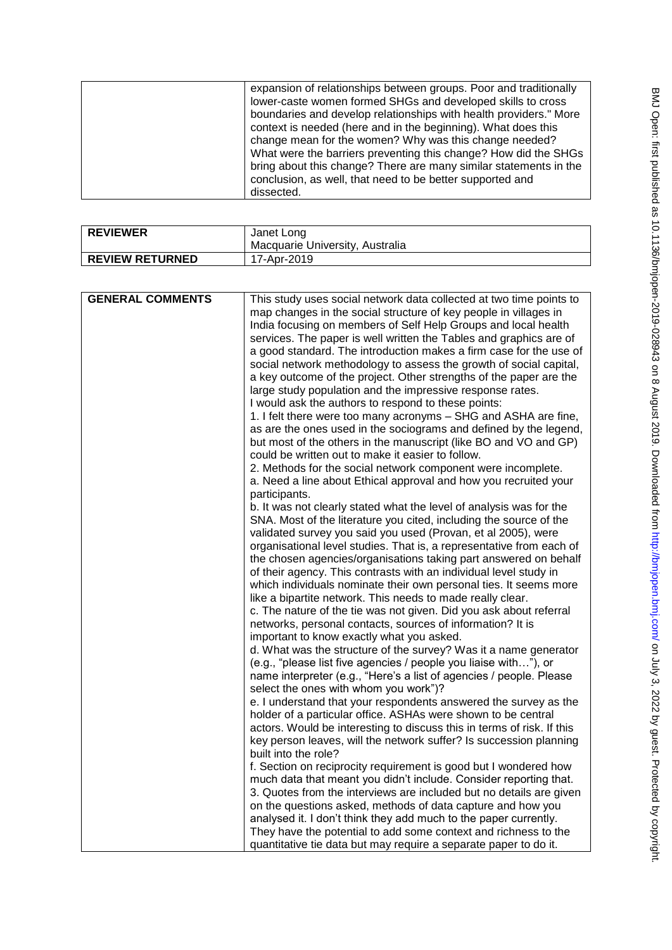| <b>REVIEWER</b>        | Janet Long                      |
|------------------------|---------------------------------|
|                        | Macquarie University, Australia |
| <b>REVIEW RETURNED</b> | 17-Apr-2019                     |
|                        |                                 |

| <b>GENERAL COMMENTS</b> | This study uses social network data collected at two time points to<br>map changes in the social structure of key people in villages in<br>India focusing on members of Self Help Groups and local health<br>services. The paper is well written the Tables and graphics are of<br>a good standard. The introduction makes a firm case for the use of<br>social network methodology to assess the growth of social capital,<br>a key outcome of the project. Other strengths of the paper are the<br>large study population and the impressive response rates.<br>I would ask the authors to respond to these points:<br>1. I felt there were too many acronyms - SHG and ASHA are fine,<br>as are the ones used in the sociograms and defined by the legend,<br>but most of the others in the manuscript (like BO and VO and GP)<br>could be written out to make it easier to follow.<br>2. Methods for the social network component were incomplete.<br>a. Need a line about Ethical approval and how you recruited your<br>participants.<br>b. It was not clearly stated what the level of analysis was for the<br>SNA. Most of the literature you cited, including the source of the<br>validated survey you said you used (Provan, et al 2005), were<br>organisational level studies. That is, a representative from each of<br>the chosen agencies/organisations taking part answered on behalf<br>of their agency. This contrasts with an individual level study in<br>which individuals nominate their own personal ties. It seems more<br>like a bipartite network. This needs to made really clear.<br>c. The nature of the tie was not given. Did you ask about referral<br>networks, personal contacts, sources of information? It is<br>important to know exactly what you asked.<br>d. What was the structure of the survey? Was it a name generator<br>(e.g., "please list five agencies / people you liaise with"), or<br>name interpreter (e.g., "Here's a list of agencies / people. Please<br>select the ones with whom you work")?<br>e. I understand that your respondents answered the survey as the<br>holder of a particular office. ASHAs were shown to be central<br>actors. Would be interesting to discuss this in terms of risk. If this<br>key person leaves, will the network suffer? Is succession planning<br>built into the role?<br>f. Section on reciprocity requirement is good but I wondered how<br>much data that meant you didn't include. Consider reporting that.<br>3. Quotes from the interviews are included but no details are given<br>on the questions asked, methods of data capture and how you |
|-------------------------|----------------------------------------------------------------------------------------------------------------------------------------------------------------------------------------------------------------------------------------------------------------------------------------------------------------------------------------------------------------------------------------------------------------------------------------------------------------------------------------------------------------------------------------------------------------------------------------------------------------------------------------------------------------------------------------------------------------------------------------------------------------------------------------------------------------------------------------------------------------------------------------------------------------------------------------------------------------------------------------------------------------------------------------------------------------------------------------------------------------------------------------------------------------------------------------------------------------------------------------------------------------------------------------------------------------------------------------------------------------------------------------------------------------------------------------------------------------------------------------------------------------------------------------------------------------------------------------------------------------------------------------------------------------------------------------------------------------------------------------------------------------------------------------------------------------------------------------------------------------------------------------------------------------------------------------------------------------------------------------------------------------------------------------------------------------------------------------------------------------------------------------------------------------------------------------------------------------------------------------------------------------------------------------------------------------------------------------------------------------------------------------------------------------------------------------------------------------------------------------------------------------------------------------------------------------------------------------------------------------------------------------------------|
|                         | analysed it. I don't think they add much to the paper currently.<br>They have the potential to add some context and richness to the                                                                                                                                                                                                                                                                                                                                                                                                                                                                                                                                                                                                                                                                                                                                                                                                                                                                                                                                                                                                                                                                                                                                                                                                                                                                                                                                                                                                                                                                                                                                                                                                                                                                                                                                                                                                                                                                                                                                                                                                                                                                                                                                                                                                                                                                                                                                                                                                                                                                                                                |
|                         | quantitative tie data but may require a separate paper to do it.                                                                                                                                                                                                                                                                                                                                                                                                                                                                                                                                                                                                                                                                                                                                                                                                                                                                                                                                                                                                                                                                                                                                                                                                                                                                                                                                                                                                                                                                                                                                                                                                                                                                                                                                                                                                                                                                                                                                                                                                                                                                                                                                                                                                                                                                                                                                                                                                                                                                                                                                                                                   |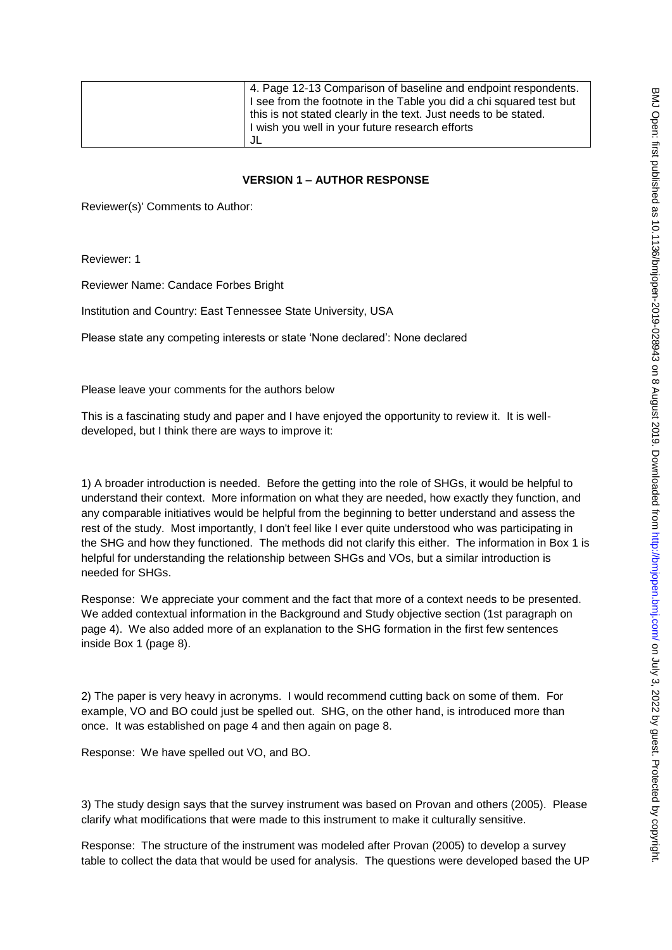| 4. Page 12-13 Comparison of baseline and endpoint respondents.      |
|---------------------------------------------------------------------|
| I see from the footnote in the Table you did a chi squared test but |
| this is not stated clearly in the text. Just needs to be stated.    |
| I wish you well in your future research efforts                     |
|                                                                     |

#### **VERSION 1 – AUTHOR RESPONSE**

Reviewer(s)' Comments to Author:

Reviewer: 1

Reviewer Name: Candace Forbes Bright

Institution and Country: East Tennessee State University, USA

Please state any competing interests or state 'None declared': None declared

Please leave your comments for the authors below

This is a fascinating study and paper and I have enjoyed the opportunity to review it. It is welldeveloped, but I think there are ways to improve it:

1) A broader introduction is needed. Before the getting into the role of SHGs, it would be helpful to understand their context. More information on what they are needed, how exactly they function, and any comparable initiatives would be helpful from the beginning to better understand and assess the rest of the study. Most importantly, I don't feel like I ever quite understood who was participating in the SHG and how they functioned. The methods did not clarify this either. The information in Box 1 is helpful for understanding the relationship between SHGs and VOs, but a similar introduction is needed for SHGs.

Response: We appreciate your comment and the fact that more of a context needs to be presented. We added contextual information in the Background and Study objective section (1st paragraph on page 4). We also added more of an explanation to the SHG formation in the first few sentences inside Box 1 (page 8).

2) The paper is very heavy in acronyms. I would recommend cutting back on some of them. For example, VO and BO could just be spelled out. SHG, on the other hand, is introduced more than once. It was established on page 4 and then again on page 8.

Response: We have spelled out VO, and BO.

3) The study design says that the survey instrument was based on Provan and others (2005). Please clarify what modifications that were made to this instrument to make it culturally sensitive.

Response: The structure of the instrument was modeled after Provan (2005) to develop a survey table to collect the data that would be used for analysis. The questions were developed based the UP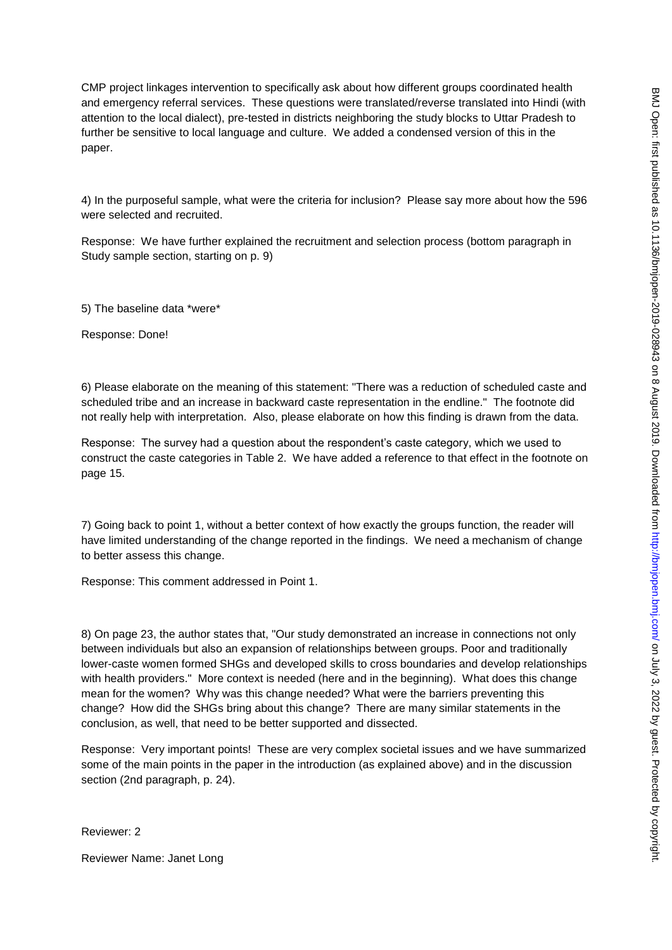CMP project linkages intervention to specifically ask about how different groups coordinated health and emergency referral services. These questions were translated/reverse translated into Hindi (with attention to the local dialect), pre-tested in districts neighboring the study blocks to Uttar Pradesh to further be sensitive to local language and culture. We added a condensed version of this in the paper.

4) In the purposeful sample, what were the criteria for inclusion? Please say more about how the 596 were selected and recruited.

Response: We have further explained the recruitment and selection process (bottom paragraph in Study sample section, starting on p. 9)

5) The baseline data \*were\*

Response: Done!

6) Please elaborate on the meaning of this statement: "There was a reduction of scheduled caste and scheduled tribe and an increase in backward caste representation in the endline." The footnote did not really help with interpretation. Also, please elaborate on how this finding is drawn from the data.

Response: The survey had a question about the respondent's caste category, which we used to construct the caste categories in Table 2. We have added a reference to that effect in the footnote on page 15.

7) Going back to point 1, without a better context of how exactly the groups function, the reader will have limited understanding of the change reported in the findings. We need a mechanism of change to better assess this change.

Response: This comment addressed in Point 1.

8) On page 23, the author states that, "Our study demonstrated an increase in connections not only between individuals but also an expansion of relationships between groups. Poor and traditionally lower-caste women formed SHGs and developed skills to cross boundaries and develop relationships with health providers." More context is needed (here and in the beginning). What does this change mean for the women? Why was this change needed? What were the barriers preventing this change? How did the SHGs bring about this change? There are many similar statements in the conclusion, as well, that need to be better supported and dissected.

Response: Very important points! These are very complex societal issues and we have summarized some of the main points in the paper in the introduction (as explained above) and in the discussion section (2nd paragraph, p. 24).

Reviewer: 2

Reviewer Name: Janet Long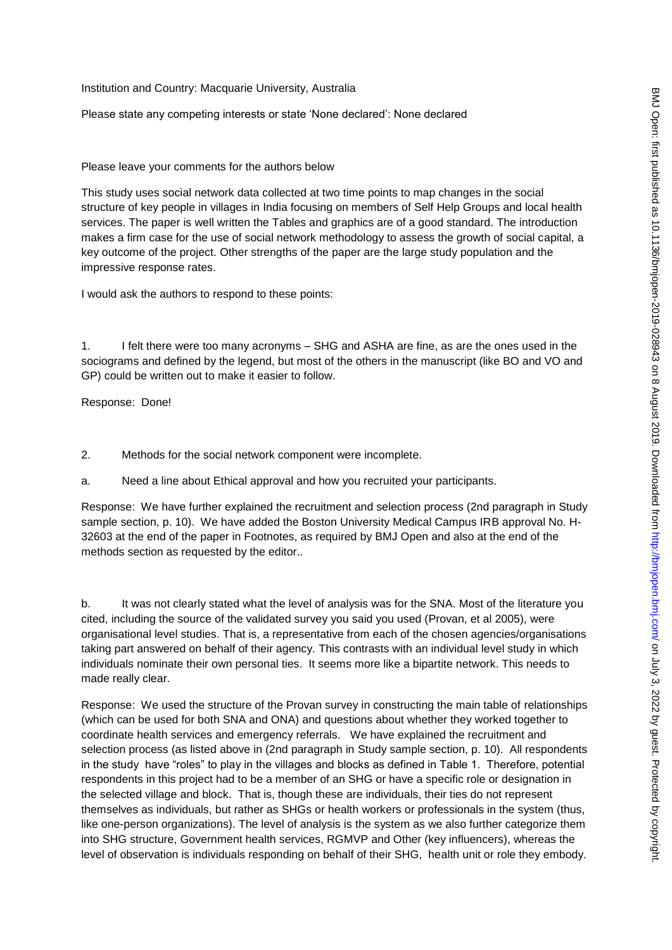Institution and Country: Macquarie University, Australia

Please state any competing interests or state 'None declared': None declared

### Please leave your comments for the authors below

This study uses social network data collected at two time points to map changes in the social structure of key people in villages in India focusing on members of Self Help Groups and local health services. The paper is well written the Tables and graphics are of a good standard. The introduction makes a firm case for the use of social network methodology to assess the growth of social capital, a key outcome of the project. Other strengths of the paper are the large study population and the impressive response rates.

I would ask the authors to respond to these points:

1. I felt there were too many acronyms – SHG and ASHA are fine, as are the ones used in the sociograms and defined by the legend, but most of the others in the manuscript (like BO and VO and GP) could be written out to make it easier to follow.

Response: Done!

2. Methods for the social network component were incomplete.

a. Need a line about Ethical approval and how you recruited your participants.

Response: We have further explained the recruitment and selection process (2nd paragraph in Study sample section, p. 10). We have added the Boston University Medical Campus IRB approval No. H-32603 at the end of the paper in Footnotes, as required by BMJ Open and also at the end of the methods section as requested by the editor..

b. It was not clearly stated what the level of analysis was for the SNA. Most of the literature you cited, including the source of the validated survey you said you used (Provan, et al 2005), were organisational level studies. That is, a representative from each of the chosen agencies/organisations taking part answered on behalf of their agency. This contrasts with an individual level study in which individuals nominate their own personal ties. It seems more like a bipartite network. This needs to made really clear.

Response: We used the structure of the Provan survey in constructing the main table of relationships (which can be used for both SNA and ONA) and questions about whether they worked together to coordinate health services and emergency referrals. We have explained the recruitment and selection process (as listed above in (2nd paragraph in Study sample section, p. 10). All respondents in the study have "roles" to play in the villages and blocks as defined in Table 1. Therefore, potential respondents in this project had to be a member of an SHG or have a specific role or designation in the selected village and block. That is, though these are individuals, their ties do not represent themselves as individuals, but rather as SHGs or health workers or professionals in the system (thus, like one-person organizations). The level of analysis is the system as we also further categorize them into SHG structure, Government health services, RGMVP and Other (key influencers), whereas the level of observation is individuals responding on behalf of their SHG, health unit or role they embody.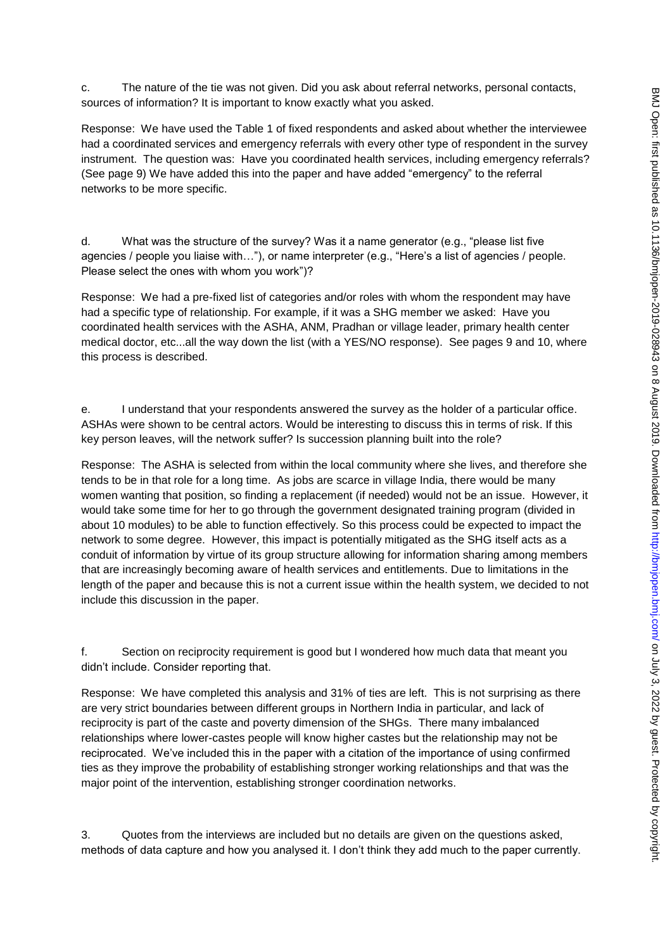c. The nature of the tie was not given. Did you ask about referral networks, personal contacts, sources of information? It is important to know exactly what you asked.

Response: We have used the Table 1 of fixed respondents and asked about whether the interviewee had a coordinated services and emergency referrals with every other type of respondent in the survey instrument. The question was: Have you coordinated health services, including emergency referrals? (See page 9) We have added this into the paper and have added "emergency" to the referral networks to be more specific.

d. What was the structure of the survey? Was it a name generator (e.g., "please list five agencies / people you liaise with…"), or name interpreter (e.g., "Here's a list of agencies / people. Please select the ones with whom you work")?

Response: We had a pre-fixed list of categories and/or roles with whom the respondent may have had a specific type of relationship. For example, if it was a SHG member we asked: Have you coordinated health services with the ASHA, ANM, Pradhan or village leader, primary health center medical doctor, etc...all the way down the list (with a YES/NO response). See pages 9 and 10, where this process is described.

e. I understand that your respondents answered the survey as the holder of a particular office. ASHAs were shown to be central actors. Would be interesting to discuss this in terms of risk. If this key person leaves, will the network suffer? Is succession planning built into the role?

Response: The ASHA is selected from within the local community where she lives, and therefore she tends to be in that role for a long time. As jobs are scarce in village India, there would be many women wanting that position, so finding a replacement (if needed) would not be an issue. However, it would take some time for her to go through the government designated training program (divided in about 10 modules) to be able to function effectively. So this process could be expected to impact the network to some degree. However, this impact is potentially mitigated as the SHG itself acts as a conduit of information by virtue of its group structure allowing for information sharing among members that are increasingly becoming aware of health services and entitlements. Due to limitations in the length of the paper and because this is not a current issue within the health system, we decided to not include this discussion in the paper.

f. Section on reciprocity requirement is good but I wondered how much data that meant you didn't include. Consider reporting that.

Response: We have completed this analysis and 31% of ties are left. This is not surprising as there are very strict boundaries between different groups in Northern India in particular, and lack of reciprocity is part of the caste and poverty dimension of the SHGs. There many imbalanced relationships where lower-castes people will know higher castes but the relationship may not be reciprocated. We've included this in the paper with a citation of the importance of using confirmed ties as they improve the probability of establishing stronger working relationships and that was the major point of the intervention, establishing stronger coordination networks.

3. Quotes from the interviews are included but no details are given on the questions asked, methods of data capture and how you analysed it. I don't think they add much to the paper currently.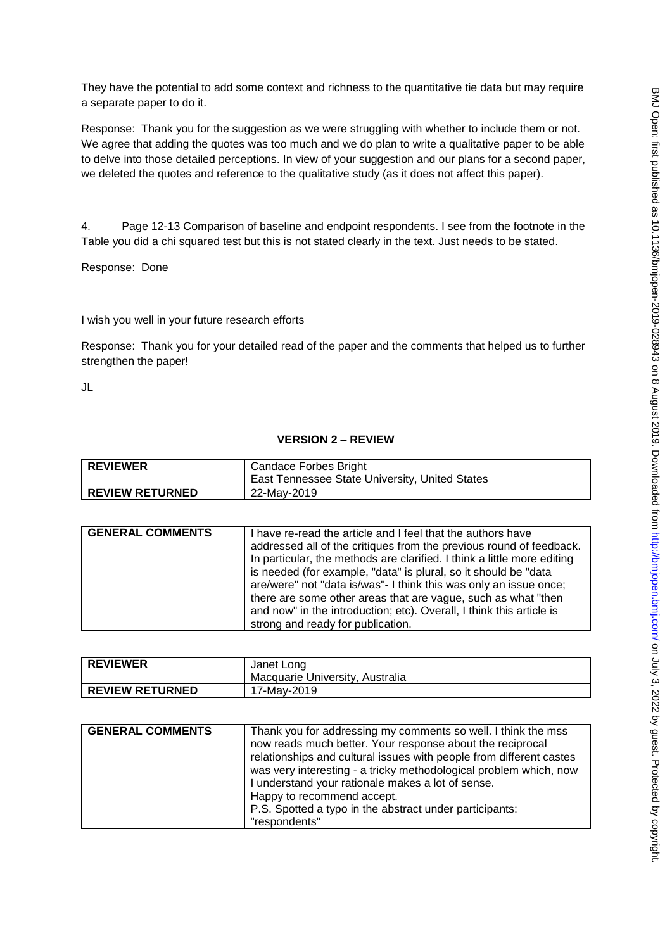They have the potential to add some context and richness to the quantitative tie data but may require a separate paper to do it.

Response: Thank you for the suggestion as we were struggling with whether to include them or not. We agree that adding the quotes was too much and we do plan to write a qualitative paper to be able to delve into those detailed perceptions. In view of your suggestion and our plans for a second paper, we deleted the quotes and reference to the qualitative study (as it does not affect this paper).

4. Page 12-13 Comparison of baseline and endpoint respondents. I see from the footnote in the Table you did a chi squared test but this is not stated clearly in the text. Just needs to be stated.

Response: Done

### I wish you well in your future research efforts

Response: Thank you for your detailed read of the paper and the comments that helped us to further strengthen the paper!

JL

# **VERSION 2 – REVIEW**

| <b>REVIEWER</b>        | Candace Forbes Bright<br>East Tennessee State University, United States |
|------------------------|-------------------------------------------------------------------------|
| <b>REVIEW RETURNED</b> | 22-Mav-2019                                                             |

| there are some other areas that are vague, such as what "then<br>and now" in the introduction; etc). Overall, I think this article is<br>strong and ready for publication. |
|----------------------------------------------------------------------------------------------------------------------------------------------------------------------------|
|----------------------------------------------------------------------------------------------------------------------------------------------------------------------------|

| <b>REVIEWER</b>        | Janet Long<br>Macquarie University, Australia |
|------------------------|-----------------------------------------------|
| <b>REVIEW RETURNED</b> | 17-Mav-2019                                   |

| Happy to recommend accept.<br>P.S. Spotted a typo in the abstract under participants:<br>"respondents" | <b>GENERAL COMMENTS</b> | Thank you for addressing my comments so well. I think the mss<br>now reads much better. Your response about the reciprocal<br>relationships and cultural issues with people from different castes<br>was very interesting - a tricky methodological problem which, now<br>I understand your rationale makes a lot of sense. |
|--------------------------------------------------------------------------------------------------------|-------------------------|-----------------------------------------------------------------------------------------------------------------------------------------------------------------------------------------------------------------------------------------------------------------------------------------------------------------------------|
|--------------------------------------------------------------------------------------------------------|-------------------------|-----------------------------------------------------------------------------------------------------------------------------------------------------------------------------------------------------------------------------------------------------------------------------------------------------------------------------|